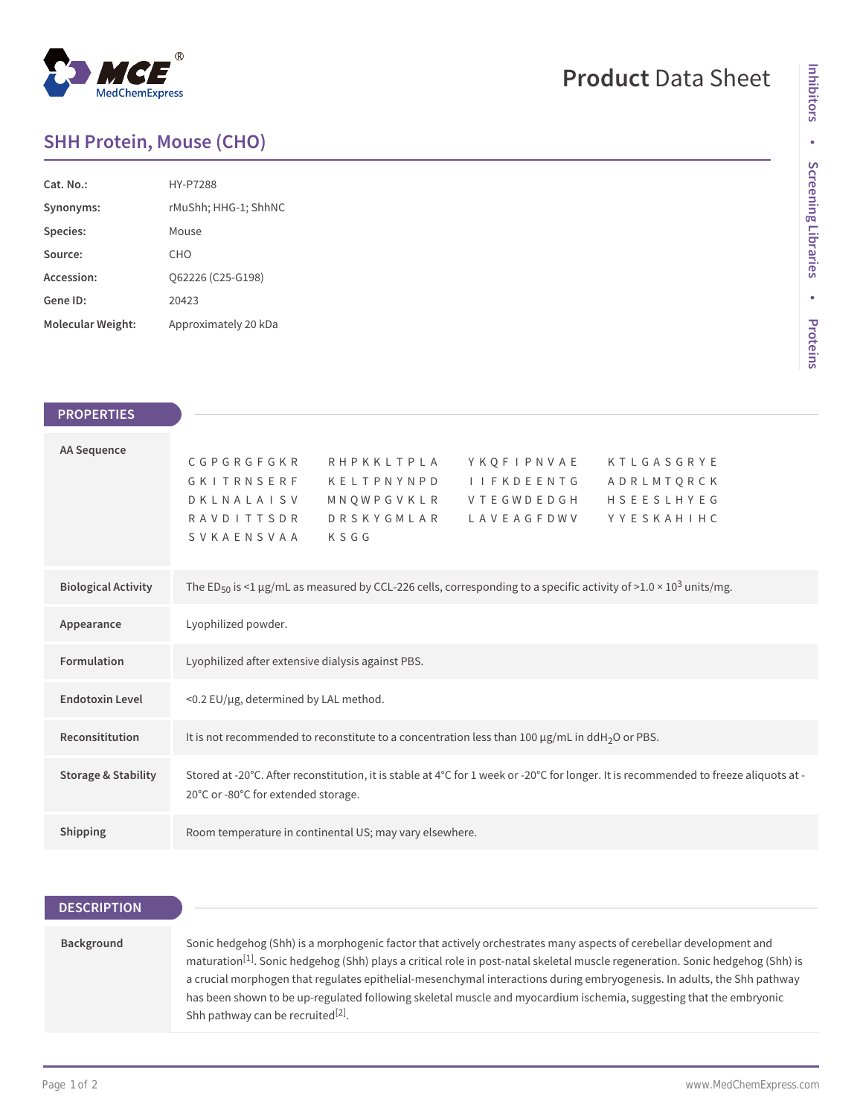## $^{\circledR}$ MedChemExpress

# **Product** Data Sheet

### **SHH Protein, Mouse (CHO)**

| Cat. No.          | HY-P7288             |
|-------------------|----------------------|
| Synonyms:         | rMuShh; HHG-1; ShhNC |
| Species:          | Mouse                |
| Source:           | CHO                  |
| Accession:        | O62226 (C25-G198)    |
| Gene ID:          | 20423                |
| Molecular Weight: | Approximately 20 kDa |

| <b>PROPERTIES</b>              |                                                                                                                                                                                                                                                                                               |
|--------------------------------|-----------------------------------------------------------------------------------------------------------------------------------------------------------------------------------------------------------------------------------------------------------------------------------------------|
| <b>AA Sequence</b>             | CGPGRGFGKR<br>RHPKKLTPLA<br>YKOFIPNVAE<br>KTLGASGRYE<br>GKITRNSERF<br>KELTPNYNPD<br><b>I I F K D E E N T G</b><br>ADRLMTQRCK<br>HSEESLHYEG<br>MNQWPGVKLR VTEGWDEDGH<br><b>DKLNALAISV</b><br><b>RAVDITTSDR</b><br><b>DRSKYGMLAR</b><br>L A V E A G F D W V<br>YYESKAHIHC<br>SVKAENSVAA<br>KSGG |
| <b>Biological Activity</b>     | The ED <sub>50</sub> is <1 µg/mL as measured by CCL-226 cells, corresponding to a specific activity of >1.0 × 10 <sup>3</sup> units/mg.                                                                                                                                                       |
| Appearance                     | Lyophilized powder.                                                                                                                                                                                                                                                                           |
| <b>Formulation</b>             | Lyophilized after extensive dialysis against PBS.                                                                                                                                                                                                                                             |
| <b>Endotoxin Level</b>         | <0.2 EU/µg, determined by LAL method.                                                                                                                                                                                                                                                         |
| Reconsititution                | It is not recommended to reconstitute to a concentration less than $100 \mu g/mL$ in ddH <sub>2</sub> O or PBS.                                                                                                                                                                               |
| <b>Storage &amp; Stability</b> | Stored at -20°C. After reconstitution, it is stable at 4°C for 1 week or -20°C for longer. It is recommended to freeze aliquots at -<br>20°C or -80°C for extended storage.                                                                                                                   |
| Shipping                       | Room temperature in continental US; may vary elsewhere.                                                                                                                                                                                                                                       |

| <b>DESCRIPTION</b> |                                                                                                                                                                                                                                                                                                                                                                                                                                                                                                                                                                    |  |
|--------------------|--------------------------------------------------------------------------------------------------------------------------------------------------------------------------------------------------------------------------------------------------------------------------------------------------------------------------------------------------------------------------------------------------------------------------------------------------------------------------------------------------------------------------------------------------------------------|--|
|                    |                                                                                                                                                                                                                                                                                                                                                                                                                                                                                                                                                                    |  |
| Background         | Sonic hedgehog (Shh) is a morphogenic factor that actively orchestrates many aspects of cerebellar development and<br>maturation <sup>[1]</sup> . Sonic hedgehog (Shh) plays a critical role in post-natal skeletal muscle regeneration. Sonic hedgehog (Shh) is<br>a crucial morphogen that regulates epithelial-mesenchymal interactions during embryogenesis. In adults, the Shh pathway<br>has been shown to be up-regulated following skeletal muscle and myocardium ischemia, suggesting that the embryonic<br>Shh pathway can be recruited <sup>[2]</sup> . |  |